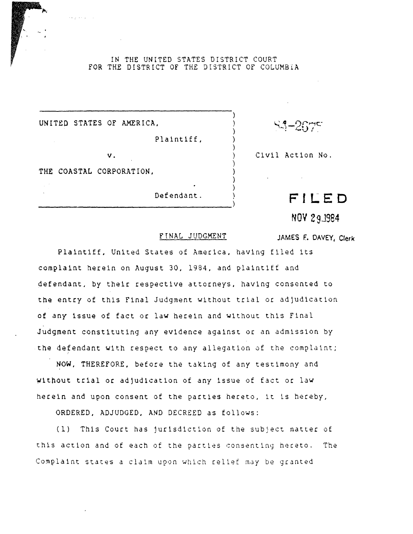IN THE UNITED STATES DISTRICT COURT FOR THE DISTRICT OF THE DISTRICT OF COLUMBIA

> ) ) ) ) ) ) ) ) ) )

UNITEO STATES OF AMERICA,

Plaintiff,

v.

THE COASTAL CORPORATION,

Defendant.

 $S3 - 267$ 

Civil Action No.

**FI LE D** 

**NOV** 29J984

JAMES F. DAVEY, Clerk

## FrNAL JUDGMENT

Plaintiff. United States of America, having flled its complaint herein on August 30, 1984, and plaintiff and defendant, by their respective attorneys, having consented to the entry of this Final Judgment without trial or adjudication of any issue of fact or law herein and without this Final Judgment constituting any evidence against or an admission by the defendant with respect to any allegation of the complaint;

NOW, THEREFORE, before the taking of any testimony and witpout trial or adjudication of any issue of fact or law herein and upon consent of the parties hereto, it is hereby,

ORDERED, ADJUDGED, AND DECREED as follows:

(1) Th1s Court has Jurisdiction of the subject matter of this action and of each of the parties consenting hereto. The Complaint states a claim upon which relief may be granted